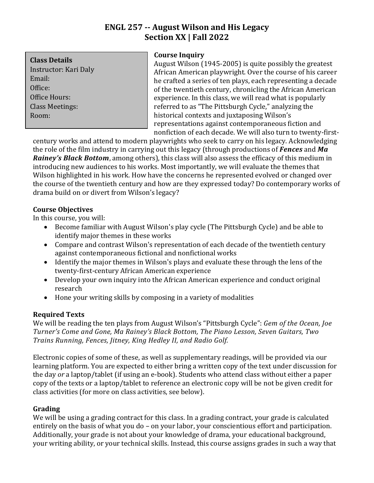## **ENGL 257 -- August Wilson and His Legacy Section XX | Fall 2022**

#### **Class Details**

Instructor: Kari Daly Email: Office: Office Hours: Class Meetings: Room:

## **Course Inquiry**

August Wilson (1945-2005) is quite possibly the greatest African American playwright. Over the course of his career he crafted a series of ten plays, each representing a decade of the twentieth century, chronicling the African American experience. In this class, we will read what is popularly referred to as "The Pittsburgh Cycle," analyzing the historical contexts and juxtaposing Wilson's representations against contemporaneous fiction and nonfiction of each decade. We will also turn to twenty-first-

century works and attend to modern playwrights who seek to carry on his legacy. Acknowledging the role of the film industry in carrying out this legacy (through productions of *Fences* and *Ma Rainey's Black Bottom*, among others), this class will also assess the efficacy of this medium in introducing new audiences to his works. Most importantly, we will evaluate the themes that Wilson highlighted in his work. How have the concerns he represented evolved or changed over the course of the twentieth century and how are they expressed today? Do contemporary works of drama build on or divert from Wilson's legacy?

## **Course Objectives**

In this course, you will:

- Become familiar with August Wilson's play cycle (The Pittsburgh Cycle) and be able to identify major themes in these works
- Compare and contrast Wilson's representation of each decade of the twentieth century against contemporaneous fictional and nonfictional works
- Identify the major themes in Wilson's plays and evaluate these through the lens of the twenty-first-century African American experience
- Develop your own inquiry into the African American experience and conduct original research
- Hone your writing skills by composing in a variety of modalities

## **Required Texts**

We will be reading the ten plays from August Wilson's "Pittsburgh Cycle": *Gem of the Ocean, Joe Turner's Come and Gone, Ma Rainey's Black Bottom, The Piano Lesson, Seven Guitars, Two Trains Running, Fences, Jitney, King Hedley II, and Radio Golf.*

Electronic copies of some of these, as well as supplementary readings, will be provided via our learning platform. You are expected to either bring a written copy of the text under discussion for the day *or* a laptop/tablet (if using an e-book). Students who attend class without either a paper copy of the texts or a laptop/tablet to reference an electronic copy will be not be given credit for class activities (for more on class activities, see below).

## **Grading**

We will be using a grading contract for this class. In a grading contract, your grade is calculated entirely on the basis of what you do – on your labor, your conscientious effort and participation. Additionally, your grade is not about your knowledge of drama, your educational background, your writing ability, or your technical skills. Instead, this course assigns grades in such a way that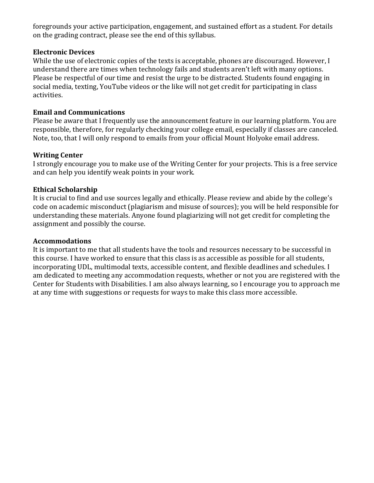foregrounds your active participation, engagement, and sustained effort as a student. For details on the grading contract, please see the end of this syllabus.

#### **Electronic Devices**

While the use of electronic copies of the texts is acceptable, phones are discouraged. However, I understand there are times when technology fails and students aren't left with many options. Please be respectful of our time and resist the urge to be distracted. Students found engaging in social media, texting, YouTube videos or the like will not get credit for participating in class activities.

#### **Email and Communications**

Please be aware that I frequently use the announcement feature in our learning platform. You are responsible, therefore, for regularly checking your college email, especially if classes are canceled. Note, too, that I will only respond to emails from your official Mount Holyoke email address.

#### **Writing Center**

I strongly encourage you to make use of the Writing Center for your projects. This is a free service and can help you identify weak points in your work.

#### **Ethical Scholarship**

It is crucial to find and use sources legally and ethically. Please review and abide by the college's code on academic misconduct (plagiarism and misuse of sources); you will be held responsible for understanding these materials. Anyone found plagiarizing will not get credit for completing the assignment and possibly the course.

#### **Accommodations**

It is important to me that all students have the tools and resources necessary to be successful in this course. I have worked to ensure that this class is as accessible as possible for all students, incorporating UDL, multimodal texts, accessible content, and flexible deadlines and schedules. I am dedicated to meeting any accommodation requests, whether or not you are registered with the Center for Students with Disabilities. I am also always learning, so I encourage you to approach me at any time with suggestions or requests for ways to make this class more accessible.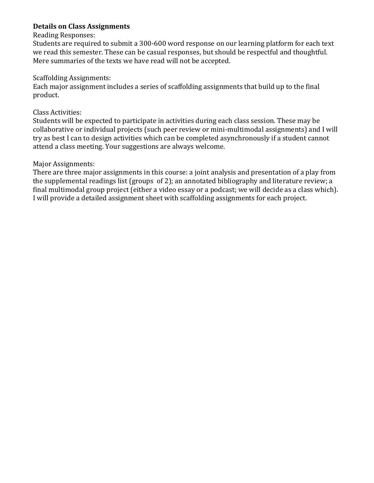## **Details on Class Assignments**

#### Reading Responses:

Students are required to submit a 300-600 word response on our learning platform for each text we read this semester. These can be casual responses, but should be respectful and thoughtful. Mere summaries of the texts we have read will not be accepted.

#### Scaffolding Assignments:

Each major assignment includes a series of scaffolding assignments that build up to the final product.

#### Class Activities:

Students will be expected to participate in activities during each class session. These may be collaborative or individual projects (such peer review or mini-multimodal assignments) and I will try as best I can to design activities which can be completed asynchronously if a student cannot attend a class meeting. Your suggestions are always welcome.

#### Major Assignments:

There are three major assignments in this course: a joint analysis and presentation of a play from the supplemental readings list (groups of 2); an annotated bibliography and literature review; a final multimodal group project (either a video essay or a podcast; we will decide as a class which). I will provide a detailed assignment sheet with scaffolding assignments for each project.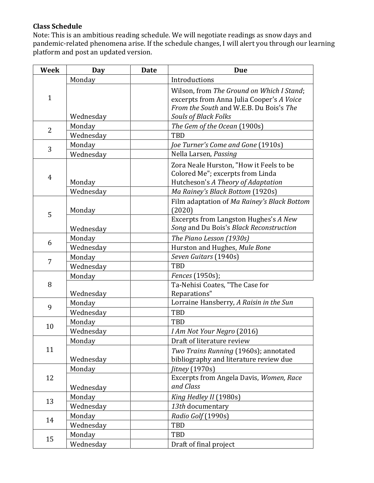## **Class Schedule**

Note: This is an ambitious reading schedule. We will negotiate readings as snow days and pandemic-related phenomena arise. If the schedule changes, I will alert you through our learning platform and post an updated version.

| <b>Week</b>    | Day                 | <b>Date</b> | <b>Due</b>                                                                                                                                                |  |  |
|----------------|---------------------|-------------|-----------------------------------------------------------------------------------------------------------------------------------------------------------|--|--|
|                | Monday              |             | Introductions                                                                                                                                             |  |  |
| $\mathbf{1}$   | Wednesday           |             | Wilson, from The Ground on Which I Stand;<br>excerpts from Anna Julia Cooper's A Voice<br>From the South and W.E.B. Du Bois's The<br>Souls of Black Folks |  |  |
| $\overline{2}$ | Monday              |             | The Gem of the Ocean (1900s)                                                                                                                              |  |  |
|                | Wednesday           |             | <b>TBD</b>                                                                                                                                                |  |  |
| 3              | Monday              |             | Joe Turner's Come and Gone (1910s)                                                                                                                        |  |  |
|                | Wednesday           |             | Nella Larsen, Passing                                                                                                                                     |  |  |
| 4              | Monday<br>Wednesday |             | Zora Neale Hurston, "How it Feels to be<br>Colored Me"; excerpts from Linda<br>Hutcheson's A Theory of Adaptation<br>Ma Rainey's Black Bottom (1920s)     |  |  |
| 5              | Monday              |             | Film adaptation of Ma Rainey's Black Bottom<br>(2020)                                                                                                     |  |  |
|                | Wednesday           |             | Excerpts from Langston Hughes's A New<br>Song and Du Bois's Black Reconstruction                                                                          |  |  |
| 6              | Monday              |             | The Piano Lesson (1930s)                                                                                                                                  |  |  |
|                | Wednesday           |             | Hurston and Hughes, Mule Bone                                                                                                                             |  |  |
| 7              | Monday              |             | Seven Guitars (1940s)                                                                                                                                     |  |  |
|                | Wednesday           |             | <b>TBD</b>                                                                                                                                                |  |  |
| 8              | Monday              |             | Fences (1950s);                                                                                                                                           |  |  |
|                |                     |             | Ta-Nehisi Coates, "The Case for                                                                                                                           |  |  |
|                | Wednesday           |             | Reparations"                                                                                                                                              |  |  |
| 9              | Monday              |             | Lorraine Hansberry, A Raisin in the Sun                                                                                                                   |  |  |
|                | Wednesday           |             | <b>TBD</b>                                                                                                                                                |  |  |
| 10             | Monday              |             | <b>TBD</b>                                                                                                                                                |  |  |
|                | Wednesday           |             | I Am Not Your Negro (2016)                                                                                                                                |  |  |
| 11             | Monday              |             | Draft of literature review                                                                                                                                |  |  |
|                | Wednesday           |             | Two Trains Running (1960s); annotated<br>bibliography and literature review due                                                                           |  |  |
| 12             | Monday              |             | Jitney (1970s)                                                                                                                                            |  |  |
|                | Wednesday           |             | Excerpts from Angela Davis, Women, Race<br>and Class                                                                                                      |  |  |
| 13             | Monday              |             | King Hedley II (1980s)                                                                                                                                    |  |  |
|                | Wednesday           |             | 13th documentary                                                                                                                                          |  |  |
| 14             | Monday              |             | Radio Golf (1990s)                                                                                                                                        |  |  |
|                | Wednesday           |             | TBD                                                                                                                                                       |  |  |
| 15             | Monday              |             | <b>TBD</b>                                                                                                                                                |  |  |
|                | Wednesday           |             | Draft of final project                                                                                                                                    |  |  |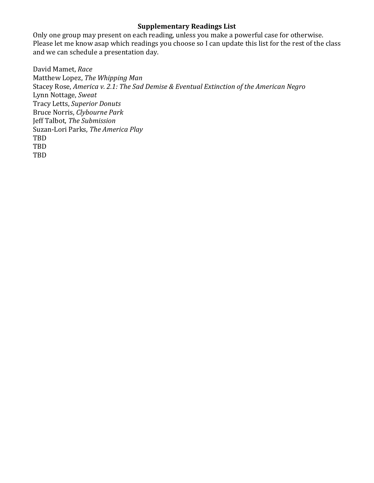#### **Supplementary Readings List**

Only one group may present on each reading, unless you make a powerful case for otherwise. Please let me know asap which readings you choose so I can update this list for the rest of the class and we can schedule a presentation day.

David Mamet, *Race* Matthew Lopez, *The Whipping Man* Stacey Rose, *America v. 2.1: The Sad Demise & Eventual Extinction of the American Negro* Lynn Nottage, *Sweat* Tracy Letts, *Superior Donuts* Bruce Norris, *Clybourne Park* Jeff Talbot, *The Submission* Suzan-Lori Parks, *The America Play*  TBD TBD TBD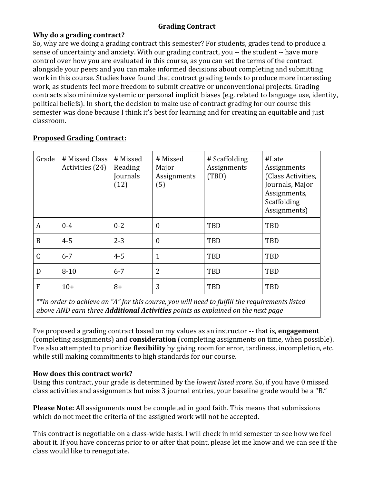## **Grading Contract**

## **Why do a grading contract?**

So, why are we doing a grading contract this semester? For students, grades tend to produce a sense of uncertainty and anxiety. With our grading contract, you -- the student -- have more control over how you are evaluated in this course, as you can set the terms of the contract alongside your peers and you can make informed decisions about completing and submitting work in this course. Studies have found that contract grading tends to produce more interesting work, as students feel more freedom to submit creative or unconventional projects. Grading contracts also minimize systemic or personal implicit biases (e.g. related to language use, identity, political beliefs). In short, the decision to make use of contract grading for our course this semester was done because I think it's best for learning and for creating an equitable and just classroom.

# **Proposed Grading Contract:**

| Grade | # Missed Class<br>Activities (24) | # Missed<br>Reading<br>Journals<br>(12) | # Missed<br>Major<br>Assignments<br>(5) | # Scaffolding<br>Assignments<br>(TBD) | #Late<br>Assignments<br>(Class Activities,<br>Journals, Major<br>Assignments,<br>Scaffolding<br>Assignments) |
|-------|-----------------------------------|-----------------------------------------|-----------------------------------------|---------------------------------------|--------------------------------------------------------------------------------------------------------------|
| A     | $0 - 4$                           | $0 - 2$                                 | $\theta$                                | TBD                                   | TBD                                                                                                          |
| B     | $4 - 5$                           | $2 - 3$                                 | $\mathbf{0}$                            | TBD                                   | TBD                                                                                                          |
| C     | $6 - 7$                           | $4 - 5$                                 | $\mathbf{1}$                            | TBD                                   | TBD                                                                                                          |
| D     | $8 - 10$                          | $6 - 7$                                 | $\overline{2}$                          | TBD                                   | TBD                                                                                                          |
| F     | $10+$                             | $8+$                                    | 3                                       | TBD                                   | TBD                                                                                                          |

*\*\*In order to achieve an "A" for this course, you will need to fulfill the requirements listed above AND earn three Additional Activities points as explained on the next page*

I've proposed a grading contract based on my values as an instructor -- that is, **engagement**  (completing assignments) and **consideration** (completing assignments on time, when possible). I've also attempted to prioritize **flexibility** by giving room for error, tardiness, incompletion, etc. while still making commitments to high standards for our course.

## **How does this contract work?**

Using this contract, your grade is determined by the *lowest listed score*. So, if you have 0 missed class activities and assignments but miss 3 journal entries, your baseline grade would be a "B."

**Please Note:** All assignments must be completed in good faith. This means that submissions which do not meet the criteria of the assigned work will not be accepted.

This contract is negotiable on a class-wide basis. I will check in mid semester to see how we feel about it. If you have concerns prior to or after that point, please let me know and we can see if the class would like to renegotiate.